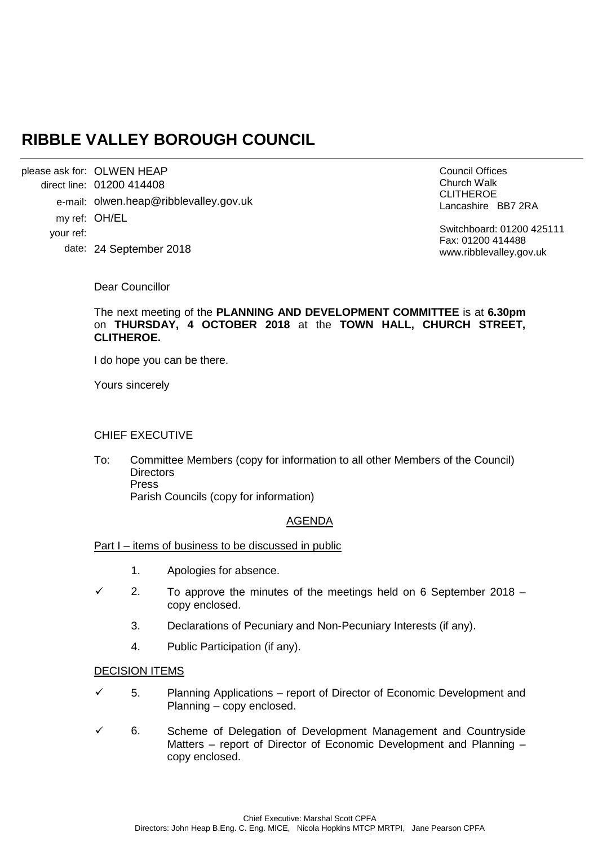# **RIBBLE VALLEY BOROUGH COUNCIL**

please ask for: OLWEN HEAP 01200 414408 direct line: e-mail: olwen.heap@ribblevalley.gov.uk my ref: OH/EL 24 September 2018 date: your ref:

Council Offices Church Walk CLITHEROE Lancashire BB7 2RA

Switchboard: 01200 425111 Fax: 01200 414488 www.ribblevalley.gov.uk

Dear Councillor

The next meeting of the **PLANNING AND DEVELOPMENT COMMITTEE** is at **6.30pm**  on **THURSDAY, 4 OCTOBER 2018** at the **TOWN HALL, CHURCH STREET, CLITHEROE.**

I do hope you can be there.

Yours sincerely

### CHIEF EXECUTIVE

To: Committee Members (copy for information to all other Members of the Council) **Directors** Press Parish Councils (copy for information)

## AGENDA

Part I – items of business to be discussed in public

- 1. Apologies for absence.
- $\checkmark$  2. To approve the minutes of the meetings held on 6 September 2018 copy enclosed.
	- 3. Declarations of Pecuniary and Non-Pecuniary Interests (if any).
	- 4. Public Participation (if any).

#### DECISION ITEMS

- 5. Planning Applications report of Director of Economic Development and Planning – copy enclosed.
- 6. Scheme of Delegation of Development Management and Countryside Matters – report of Director of Economic Development and Planning – copy enclosed.